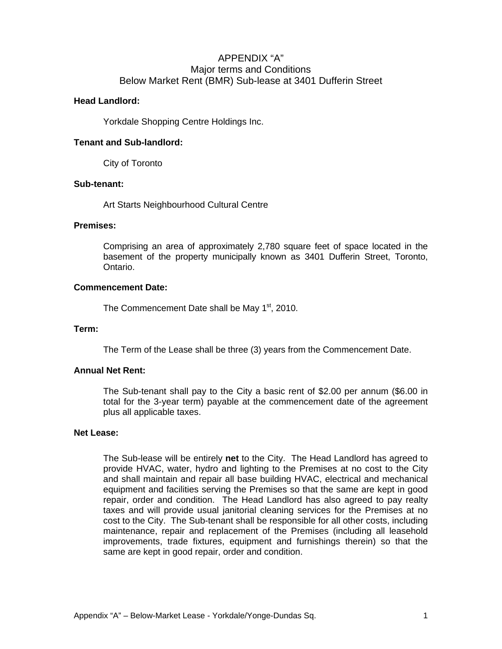# APPENDIX "A" Major terms and Conditions Below Market Rent (BMR) Sub-lease at 3401 Dufferin Street

# **Head Landlord:**

Yorkdale Shopping Centre Holdings Inc.

# **Tenant and Sub-landlord:**

City of Toronto

# **Sub-tenant:**

Art Starts Neighbourhood Cultural Centre

# **Premises:**

Comprising an area of approximately 2,780 square feet of space located in the basement of the property municipally known as 3401 Dufferin Street, Toronto, Ontario.

# **Commencement Date:**

The Commencement Date shall be May 1<sup>st</sup>, 2010.

# **Term:**

The Term of the Lease shall be three (3) years from the Commencement Date.

# **Annual Net Rent:**

The Sub-tenant shall pay to the City a basic rent of \$2.00 per annum (\$6.00 in total for the 3-year term) payable at the commencement date of the agreement plus all applicable taxes.

#### **Net Lease:**

The Sub-lease will be entirely **net** to the City. The Head Landlord has agreed to provide HVAC, water, hydro and lighting to the Premises at no cost to the City and shall maintain and repair all base building HVAC, electrical and mechanical equipment and facilities serving the Premises so that the same are kept in good repair, order and condition. The Head Landlord has also agreed to pay realty taxes and will provide usual janitorial cleaning services for the Premises at no cost to the City. The Sub-tenant shall be responsible for all other costs, including maintenance, repair and replacement of the Premises (including all leasehold improvements, trade fixtures, equipment and furnishings therein) so that the same are kept in good repair, order and condition.